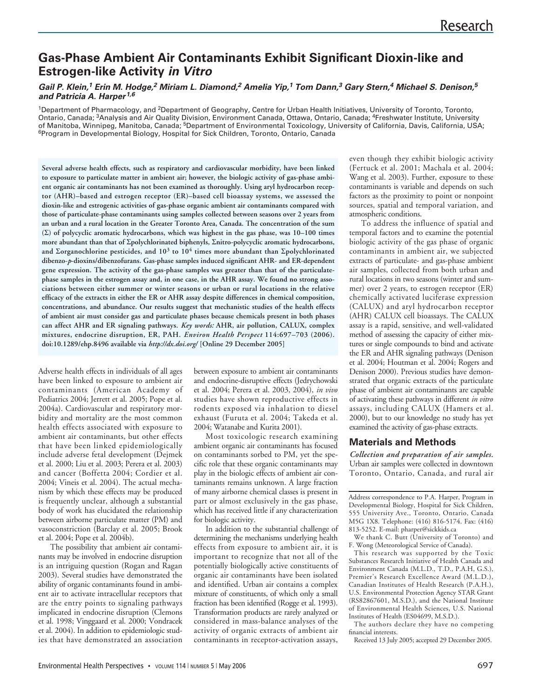# **Gas-Phase Ambient Air Contaminants Exhibit Significant Dioxin-like and Estrogen-like Activity in Vitro**

### **Gail P. Klein,<sup>1</sup> Erin M. Hodge,<sup>2</sup> Miriam L. Diamond,<sup>2</sup> Amelia Yip,<sup>1</sup> Tom Dann,<sup>3</sup> Gary Stern,<sup>4</sup> Michael S. Denison,<sup>5</sup> and Patricia A. Harper1,6**

1Department of Pharmacology, and <sup>2</sup>Department of Geography, Centre for Urban Health Initiatives, University of Toronto, Toronto, Ontario, Canada; 3Analysis and Air Quality Division, Environment Canada, Ottawa, Ontario, Canada; 4Freshwater Institute, University of Manitoba, Winnipeg, Manitoba, Canada; <sup>5</sup>Department of Environmental Toxicology, University of California, Davis, California, USA; 6Program in Developmental Biology, Hospital for Sick Children, Toronto, Ontario, Canada

**Several adverse health effects, such as respiratory and cardiovascular morbidity, have been linked to exposure to particulate matter in ambient air; however, the biologic activity of gas-phase ambient organic air contaminants has not been examined as thoroughly. Using aryl hydrocarbon receptor (AHR)–based and estrogen receptor (ER)–based cell bioassay systems, we assessed the dioxin-like and estrogenic activities of gas-phase organic ambient air contaminants compared with those of particulate-phase contaminants using samples collected between seasons over 2 years from an urban and a rural location in the Greater Toronto Area, Canada. The concentration of the sum (**Σ**) of polycyclic aromatic hydrocarbons, which was highest in the gas phase, was 10–100 times more abundant than that of** Σ**polychlorinated biphenyls,** Σ**nitro-polycyclic aromatic hydrocarbons, and** Σ**organochlorine pesticides, and 10<sup>3</sup> to 10<sup>4</sup> times more abundant than** Σ**polychlorinated dibenzo-***p***-dioxins/dibenzofurans. Gas-phase samples induced significant AHR- and ER-dependent gene expression. The activity of the gas-phase samples was greater than that of the particulatephase samples in the estrogen assay and, in one case, in the AHR assay. We found no strong associations between either summer or winter seasons or urban or rural locations in the relative efficacy of the extracts in either the ER or AHR assay despite differences in chemical composition, concentrations, and abundance. Our results suggest that mechanistic studies of the health effects of ambient air must consider gas and particulate phases because chemicals present in both phases can affect AHR and ER signaling pathways.** *Key words:* **AHR, air pollution, CALUX, complex mixtures, endocrine disruption, ER, PAH.** *Environ Health Perspect* **114:697–703 (2006). doi:10.1289/ehp.8496 available via** *http://dx.doi.org/* **[Online 29 December 2005]**

Adverse health effects in individuals of all ages have been linked to exposure to ambient air contaminants (American Academy of Pediatrics 2004; Jerrett et al. 2005; Pope et al. 2004a). Cardiovascular and respiratory morbidity and mortality are the most common health effects associated with exposure to ambient air contaminants, but other effects that have been linked epidemiologically include adverse fetal development (Dejmek et al. 2000; Liu et al. 2003; Perera et al. 2003) and cancer (Boffetta 2004; Cordier et al. 2004; Vineis et al. 2004). The actual mechanism by which these effects may be produced is frequently unclear, although a substantial body of work has elucidated the relationship between airborne particulate matter (PM) and vasoconstriction (Barclay et al. 2005; Brook et al. 2004; Pope et al. 2004b).

The possibility that ambient air contaminants may be involved in endocrine disruption is an intriguing question (Rogan and Ragan 2003). Several studies have demonstrated the ability of organic contaminants found in ambient air to activate intracellular receptors that are the entry points to signaling pathways implicated in endocrine disruption (Clemons et al. 1998; Vinggaard et al. 2000; Vondracek et al. 2004). In addition to epidemiologic studies that have demonstrated an association

between exposure to ambient air contaminants and endocrine-disruptive effects (Jedrychowski et al. 2004; Perera et al. 2003, 2004), *in vivo* studies have shown reproductive effects in rodents exposed via inhalation to diesel exhaust (Furuta et al. 2004; Takeda et al. 2004; Watanabe and Kurita 2001).

Most toxicologic research examining ambient organic air contaminants has focused on contaminants sorbed to PM, yet the specific role that these organic contaminants may play in the biologic effects of ambient air contaminants remains unknown. A large fraction of many airborne chemical classes is present in part or almost exclusively in the gas phase, which has received little if any characterization for biologic activity.

In addition to the substantial challenge of determining the mechanisms underlying health effects from exposure to ambient air, it is important to recognize that not all of the potentially biologically active constituents of organic air contaminants have been isolated and identified. Urban air contains a complex mixture of constituents, of which only a small fraction has been identified (Rogge et al. 1993). Transformation products are rarely analyzed or considered in mass-balance analyses of the activity of organic extracts of ambient air contaminants in receptor-activation assays,

even though they exhibit biologic activity (Fertuck et al. 2001; Machala et al. 2004; Wang et al. 2003). Further, exposure to these contaminants is variable and depends on such factors as the proximity to point or nonpoint sources, spatial and temporal variation, and atmospheric conditions.

To address the influence of spatial and temporal factors and to examine the potential biologic activity of the gas phase of organic contaminants in ambient air, we subjected extracts of particulate- and gas-phase ambient air samples, collected from both urban and rural locations in two seasons (winter and summer) over 2 years, to estrogen receptor (ER) chemically activated luciferase expression (CALUX) and aryl hydrocarbon receptor (AHR) CALUX cell bioassays. The CALUX assay is a rapid, sensitive, and well-validated method of assessing the capacity of either mixtures or single compounds to bind and activate the ER and AHR signaling pathways (Denison et al. 2004; Houtman et al. 2004; Rogers and Denison 2000). Previous studies have demonstrated that organic extracts of the particulate phase of ambient air contaminants are capable of activating these pathways in different *in vitro* assays, including CALUX (Hamers et al. 2000), but to our knowledge no study has yet examined the activity of gas-phase extracts.

## **Materials and Methods**

*Collection and preparation of air samples.* Urban air samples were collected in downtown Toronto, Ontario, Canada, and rural air

Address correspondence to P.A. Harper, Program in Developmental Biology, Hospital for Sick Children, 555 University Ave., Toronto, Ontario, Canada M5G 1X8. Telephone: (416) 816-5174. Fax: (416) 813-5252. E-mail: pharper@sickkids.ca

We thank C. Butt (University of Toronto) and F. Wong (Meteorological Service of Canada).

This research was supported by the Toxic Substances Research Initiative of Health Canada and Environment Canada (M.L.D., T.D., P.A.H, G.S.), Premier's Research Excellence Award (M.L.D.), Canadian Institutes of Health Research (P.A.H.), U.S. Environmental Protection Agency STAR Grant (RS82867601, M.S.D.), and the National Institute of Environmental Health Sciences, U.S. National Institutes of Health (ES04699, M.S.D.).

The authors declare they have no competing financial interests.

Received 13 July 2005; accepted 29 December 2005.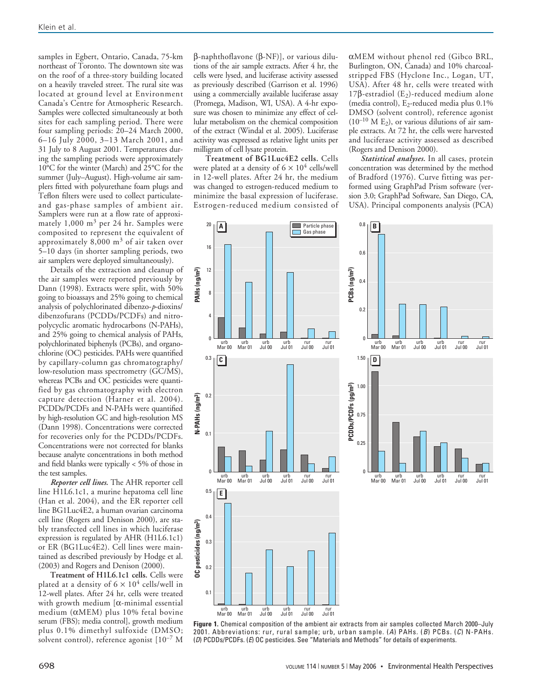samples in Egbert, Ontario, Canada, 75-km northeast of Toronto. The downtown site was on the roof of a three-story building located on a heavily traveled street. The rural site was located at ground level at Environment Canada's Centre for Atmospheric Research. Samples were collected simultaneously at both sites for each sampling period. There were four sampling periods: 20–24 March 2000, 6–16 July 2000, 3–13 March 2001, and 31 July to 8 August 2001. Temperatures during the sampling periods were approximately 10°C for the winter (March) and 25°C for the summer (July–August). High-volume air samplers fitted with polyurethane foam plugs and Teflon filters were used to collect particulateand gas-phase samples of ambient air. Samplers were run at a flow rate of approximately 1,000 m<sup>3</sup> per 24 hr. Samples were composited to represent the equivalent of approximately 8,000 m<sup>3</sup> of air taken over 5–10 days (in shorter sampling periods, two air samplers were deployed simultaneously).

Details of the extraction and cleanup of the air samples were reported previously by Dann (1998). Extracts were split, with 50% going to bioassays and 25% going to chemical analysis of polychlorinated dibenzo-*p*-dioxins/ dibenzofurans (PCDDs/PCDFs) and nitropolycyclic aromatic hydrocarbons (N-PAHs), and 25% going to chemical analysis of PAHs, polychlorinated biphenyls (PCBs), and organochlorine (OC) pesticides. PAHs were quantified by capillary-column gas chromatography/ low-resolution mass spectrometry (GC/MS), whereas PCBs and OC pesticides were quantified by gas chromatography with electron capture detection (Harner et al. 2004). PCDDs/PCDFs and N-PAHs were quantified by high-resolution GC and high-resolution MS (Dann 1998). Concentrations were corrected for recoveries only for the PCDDs/PCDFs. Concentrations were not corrected for blanks because analyte concentrations in both method and field blanks were typically < 5% of those in the test samples.

*Reporter cell lines.* The AHR reporter cell line H1L6.1c1, a murine hepatoma cell line (Han et al. 2004), and the ER reporter cell line BG1Luc4E2, a human ovarian carcinoma cell line (Rogers and Denison 2000), are stably transfected cell lines in which luciferase expression is regulated by AHR (H1L6.1c1) or ER (BG1Luc4E2). Cell lines were maintained as described previously by Hodge et al. (2003) and Rogers and Denison (2000).

**Treatment of H1L6.1c1 cells.** Cells were plated at a density of  $6 \times 10^4$  cells/well in 12-well plates. After 24 hr, cells were treated with growth medium [α-minimal essential medium (αMEM) plus 10% fetal bovine serum (FBS); media control], growth medium plus 0.1% dimethyl sulfoxide (DMSO; solvent control), reference agonist  $[10^{-7}$  M

β-naphthoflavone (β-NF)], or various dilutions of the air sample extracts. After 4 hr, the cells were lysed, and luciferase activity assessed as previously described (Garrison et al. 1996) using a commercially available luciferase assay (Promega, Madison, WI, USA). A 4-hr exposure was chosen to minimize any effect of cellular metabolism on the chemical composition of the extract (Windal et al. 2005). Luciferase activity was expressed as relative light units per milligram of cell lysate protein.

**Treatment of BG1Luc4E2 cells.** Cells were plated at a density of  $6 \times 10^4$  cells/well in 12-well plates. After 24 hr, the medium was changed to estrogen-reduced medium to minimize the basal expression of luciferase. Estrogen-reduced medium consisted of αMEM without phenol red (Gibco BRL, Burlington, ON, Canada) and 10% charcoalstripped FBS (Hyclone Inc., Logan, UT, USA). After 48 hr, cells were treated with 17β-estradiol ( $E_2$ )-reduced medium alone (media control),  $E_2$ -reduced media plus 0.1% DMSO (solvent control), reference agonist  $(10^{-10}$  M E<sub>2</sub>), or various dilutions of air sample extracts. At 72 hr, the cells were harvested and luciferase activity assessed as described (Rogers and Denison 2000).

*Statistical analyses.* In all cases, protein concentration was determined by the method of Bradford (1976). Curve fitting was performed using GraphPad Prism software (version 3.0; GraphPad Software, San Diego, CA, USA). Principal components analysis (PCA)



**Figure 1.** Chemical composition of the ambient air extracts from air samples collected March 2000–July 2001. Abbreviations: rur, rural sample; urb, urban sample. (A) PAHs. (B) PCBs. (C) N-PAHs. (D) PCDDs/PCDFs. (E) OC pesticides. See "Materials and Methods" for details of experiments.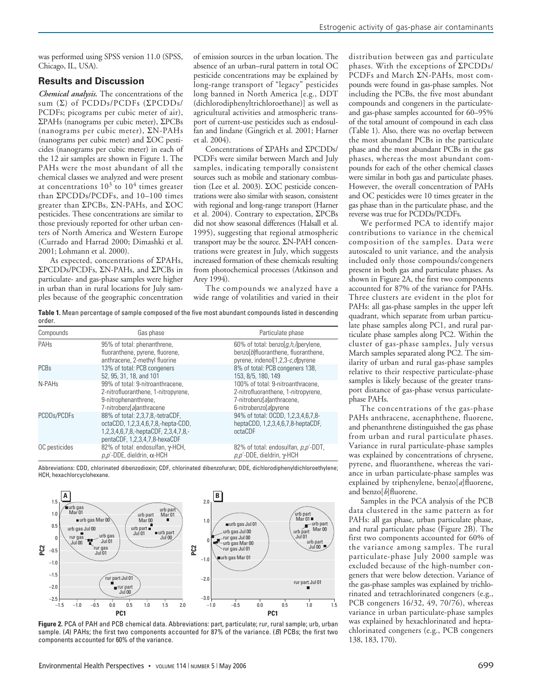was performed using SPSS version 11.0 (SPSS, Chicago, IL, USA).

#### **Results and Discussion**

*Chemical analysis.* The concentrations of the sum (Σ) of PCDDs/PCDFs (ΣPCDDs/ PCDFs; picograms per cubic meter of air), ΣPAHs (nanograms per cubic meter), ΣPCBs (nanograms per cubic meter), ΣN-PAHs (nanograms per cubic meter) and ΣOC pesticides (nanograms per cubic meter) in each of the 12 air samples are shown in Figure 1. The PAHs were the most abundant of all the chemical classes we analyzed and were present at concentrations  $10^3$  to  $10^4$  times greater than ΣPCDDs/PCDFs, and 10–100 times greater than ΣPCBs, ΣN-PAHs, and ΣOC pesticides. These concentrations are similar to those previously reported for other urban centers of North America and Western Europe (Currado and Harrad 2000; Dimashki et al. 2001; Lohmann et al. 2000).

As expected, concentrations of ΣPAHs, ΣPCDDs/PCDFs, ΣN-PAHs, and ΣPCBs in particulate- and gas-phase samples were higher in urban than in rural locations for July samples because of the geographic concentration of emission sources in the urban location. The absence of an urban–rural pattern in total OC pesticide concentrations may be explained by long-range transport of "legacy" pesticides long banned in North America [e.g., DDT (dichlorodiphenyltrichloroethane)] as well as agricultural activities and atmospheric transport of current-use pesticides such as endosulfan and lindane (Gingrich et al. 2001; Harner et al. 2004).

Concentrations of ΣPAHs and ΣPCDDs/ PCDFs were similar between March and July samples, indicating temporally consistent sources such as mobile and stationary combustion (Lee et al. 2003). ΣOC pesticide concentrations were also similar with season, consistent with regional and long-range transport (Harner et al. 2004). Contrary to expectation, ΣPCBs did not show seasonal differences (Halsall et al. 1995), suggesting that regional atmospheric transport may be the source. ΣN-PAH concentrations were greatest in July, which suggests increased formation of these chemicals resulting from photochemical processes (Atkinson and Arey 1994).

The compounds we analyzed have a wide range of volatilities and varied in their

**Table 1.** Mean percentage of sample composed of the five most abundant compounds listed in descending order.

| Compounds          | Gas phase                                                                                                                                       | Particulate phase                                                                                                              |
|--------------------|-------------------------------------------------------------------------------------------------------------------------------------------------|--------------------------------------------------------------------------------------------------------------------------------|
| PAH <sub>s</sub>   | 95% of total: phenanthrene,<br>fluoranthene, pyrene, fluorene,<br>anthracene, 2-methyl fluorine                                                 | 60% of total: benzo[g,h,j]perylene,<br>benzo[b]fluoranthene, fluoranthene,<br>pyrene, indenol[1,2,3-c,d]pyrene                 |
| <b>PCBs</b>        | 13% of total: PCB congeners<br>52, 95, 31, 18, and 101                                                                                          | 8% of total: PCB congeners 138,<br>153, 8/5, 180, 149                                                                          |
| N-PAH <sub>s</sub> | 99% of total: 9-nitroanthracene.<br>2-nitrofluoranthene, 1-nitropyrene,<br>9-nitrophenanthrene,<br>7-nitrobenzlalanthracene                     | 100% of total: 9-nitroanthracene,<br>2-nitrofluoranthene, 1-nitropyrene,<br>7-nitrobenz[a]anthracene,<br>6-nitrobenzo[a]pyrene |
| PCDDs/PCDFs        | 88% of total: 2,3,7,8,-tetraCDF,<br>octaCDD, 1,2,3,4,6,7,8,-hepta-CDD,<br>1,2,3,4,6,7,8,-heptaCDF, 2,3,4,7,8,-<br>pentaCDF, 1,2,3,4,7,8-hexaCDF | 94% of total: OCDD, 1,2,3,4,6,7,8-<br>heptaCDD, 1,2,3,4,6,7,8-heptaCDF,<br>octaCDF                                             |
| OC pesticides      | 82% of total: endosulfan, y-HCH,<br>$p, p'$ -DDE, dieldrin, $\alpha$ -HCH                                                                       | 82% of total: endosulfan, p,p'-DDT,<br>$p, p'$ -DDE, dieldrin, $\gamma$ -HCH                                                   |

Abbreviations: CDD, chlorinated dibenzodioxin; CDF, chlorinated dibenzofuran; DDE, dichlorodiphenyldichloroethylene; HCH, hexachlorcyclohexane.



**Figure 2.** PCA of PAH and PCB chemical data. Abbreviations: part, particulate; rur, rural sample; urb, urban sample. (A) PAHs; the first two components accounted for 87% of the variance. (B) PCBs; the first two components accounted for 60% of the variance.

distribution between gas and particulate phases. With the exceptions of ΣPCDDs/ PCDFs and March ΣN-PAHs, most compounds were found in gas-phase samples. Not including the PCBs, the five most abundant compounds and congeners in the particulateand gas-phase samples accounted for 60–95% of the total amount of compound in each class (Table 1). Also, there was no overlap between the most abundant PCBs in the particulate phase and the most abundant PCBs in the gas phases, whereas the most abundant compounds for each of the other chemical classes were similar in both gas and particulate phases. However, the overall concentration of PAHs and OC pesticides were 10 times greater in the gas phase than in the particulate phase, and the reverse was true for PCDDs/PCDFs.

We performed PCA to identify major contributions to variance in the chemical composition of the samples. Data were autoscaled to unit variance, and the analysis included only those compounds/congeners present in both gas and particulate phases. As shown in Figure 2A, the first two components accounted for 87% of the variance for PAHs. Three clusters are evident in the plot for PAHs: all gas-phase samples in the upper left quadrant, which separate from urban particulate phase samples along PC1, and rural particulate phase samples along PC2. Within the cluster of gas-phase samples, July versus March samples separated along PC2. The similarity of urban and rural gas-phase samples relative to their respective particulate-phase samples is likely because of the greater transport distance of gas-phase versus particulatephase PAHs.

The concentrations of the gas-phase PAHs anthracene, acenaphthene, fluorene, and phenanthrene distinguished the gas phase from urban and rural particulate phases. Variance in rural particulate-phase samples was explained by concentrations of chrysene, pyrene, and fluoranthene, whereas the variance in urban particulate-phase samples was explained by triphenylene, benzo[*a*]fluorene, and benzo[*b*]fluorene.

Samples in the PCA analysis of the PCB data clustered in the same pattern as for PAHs: all gas phase, urban particulate phase, and rural particulate phase (Figure 2B). The first two components accounted for 60% of the variance among samples. The rural particulate-phase July 2000 sample was excluded because of the high-number congeners that were below detection. Variance of the gas-phase samples was explained by trichlorinated and tetrachlorinated congeners (e.g., PCB congeners 16/32, 49, 70/76), whereas variance in urban particulate-phase samples was explained by hexachlorinated and heptachlorinated congeners (e.g., PCB congeners 138, 183, 170).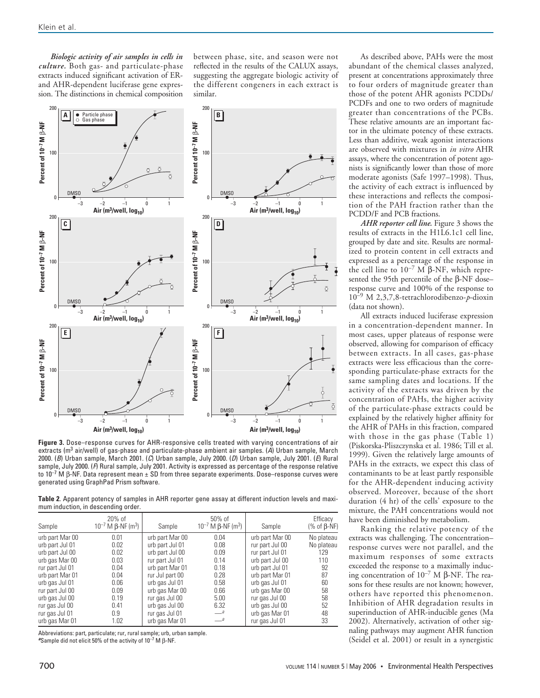*Biologic activity of air samples in cells in culture.* Both gas- and particulate-phase extracts induced significant activation of ERand AHR-dependent luciferase gene expression. The distinctions in chemical composition between phase, site, and season were not reflected in the results of the CALUX assays, suggesting the aggregate biologic activity of the different congeners in each extract is similar.



**Figure 3.** Dose–response curves for AHR-responsive cells treated with varying concentrations of air extracts ( $m<sup>3</sup>$  air/well) of gas-phase and particulate-phase ambient air samples. (A) Urban sample, March 2000. (B) Urban sample, March 2001. (C) Urban sample, July 2000. (D) Urban sample, July 2001. (E) Rural sample, July 2000. (F) Rural sample, July 2001. Activity is expressed as percentage of the response relative to  $10^{-7}$  M β-NF. Data represent mean  $\pm$  SD from three separate experiments. Dose–response curves were generated using GraphPad Prism software.

**Table 2**. Apparent potency of samples in AHR reporter gene assay at different induction levels and maximum induction, in descending order.

| Sample          | $20%$ of<br>$10^{-7}$ M β-NF (m <sup>3</sup> ) | Sample          | $50\%$ of<br>$10^{-7}$ M β-NF (m <sup>3</sup> ) | Sample          | Efficacy<br>(% of $\beta$ -NF) |
|-----------------|------------------------------------------------|-----------------|-------------------------------------------------|-----------------|--------------------------------|
| urb part Mar 00 | 0.01                                           | urb part Mar 00 | 0.04                                            | urb part Mar 00 | No plateau                     |
| urb part Jul 01 | 0.02                                           | urb part Jul 01 | 0.08                                            | rur part Jul 00 | No plateau                     |
| urb part Jul 00 | 0.02                                           | urb part Jul 00 | 0.09                                            | rur part Jul 01 | 129                            |
| urb gas Mar 00  | 0.03                                           | rur part Jul 01 | 0.14                                            | urb part Jul 00 | 110                            |
| rur part Jul 01 | 0.04                                           | urb part Mar 01 | 0.18                                            | urb part Jul 01 | 92                             |
| urb part Mar 01 | 0.04                                           | rur Jul part 00 | 0.28                                            | urb part Mar 01 | 87                             |
| urb gas Jul 01  | 0.06                                           | urb gas Jul 01  | 0.58                                            | urb gas Jul 01  | 60                             |
| rur part Jul 00 | 0.09                                           | urb gas Mar 00  | 0.66                                            | urb gas Mar 00  | 58                             |
| urb gas Jul 00  | 0.19                                           | rur gas Jul 00  | 5.00                                            | rur gas Jul 00  | 58                             |
| rur gas Jul 00  | 0.41                                           | urb gas Jul 00  | 6.32                                            | urb gas Jul 00  | 52                             |
| rur gas Jul 01  | 0.9                                            | rur gas Jul 01  | $-$ <sup>a</sup>                                | urb gas Mar 01  | 48                             |
| urb gas Mar 01  | 1.02                                           | urb gas Mar 01  | $-$ <sup>a</sup>                                | rur gas Jul 01  | 33                             |

Abbreviations: part, particulate; rur, rural sample; urb, urban sample. **<sup>a</sup>**Sample did not elicit 50% of the activity of 10–7 M β-NF.

As described above, PAHs were the most abundant of the chemical classes analyzed, present at concentrations approximately three to four orders of magnitude greater than those of the potent AHR agonists PCDDs/ PCDFs and one to two orders of magnitude greater than concentrations of the PCBs. These relative amounts are an important factor in the ultimate potency of these extracts. Less than additive, weak agonist interactions are observed with mixtures in *in vitro* AHR assays, where the concentration of potent agonists is significantly lower than those of more moderate agonists (Safe 1997–1998). Thus, the activity of each extract is influenced by these interactions and reflects the composition of the PAH fraction rather than the PCDD/F and PCB fractions.

*AHR reporter cell line.* Figure 3 shows the results of extracts in the H1L6.1c1 cell line, grouped by date and site. Results are normalized to protein content in cell extracts and expressed as a percentage of the response in the cell line to  $10^{-7}$  M β-NF, which represented the 95th percentile of the β-NF dose– response curve and 100% of the response to 10–9 M 2,3,7,8-tetrachlorodibenzo-*p*-dioxin (data not shown).

All extracts induced luciferase expression in a concentration-dependent manner. In most cases, upper plateaus of response were observed, allowing for comparison of efficacy between extracts. In all cases, gas-phase extracts were less efficacious than the corresponding particulate-phase extracts for the same sampling dates and locations. If the activity of the extracts was driven by the concentration of PAHs, the higher activity of the particulate-phase extracts could be explained by the relatively higher affinity for the AHR of PAHs in this fraction, compared with those in the gas phase (Table 1) (Piskorska-Pliszczynska et al. 1986; Till et al. 1999). Given the relatively large amounts of PAHs in the extracts, we expect this class of contaminants to be at least partly responsible for the AHR-dependent inducing activity observed. Moreover, because of the short duration (4 hr) of the cells' exposure to the mixture, the PAH concentrations would not have been diminished by metabolism.

Ranking the relative potency of the extracts was challenging. The concentration– response curves were not parallel, and the maximum responses of some extracts exceeded the response to a maximally inducing concentration of  $10^{-7}$  M β-NF. The reasons for these results are not known; however, others have reported this phenomenon. Inhibition of AHR degradation results in superinduction of AHR-inducible genes (Ma 2002). Alternatively, activation of other signaling pathways may augment AHR function (Seidel et al. 2001) or result in a synergistic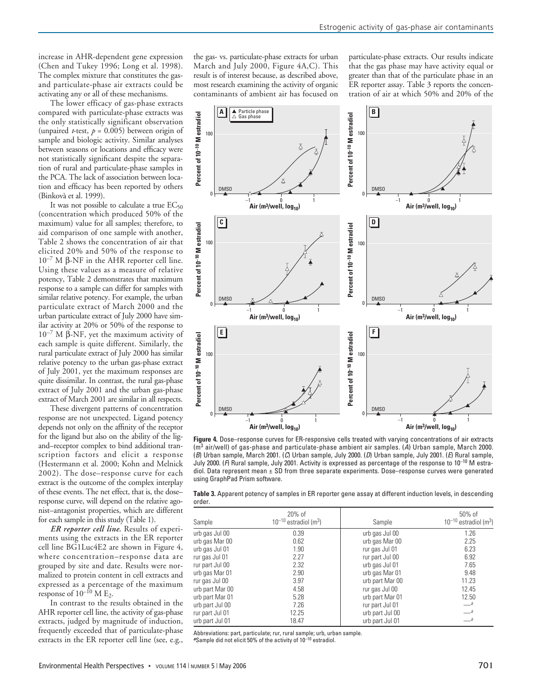increase in AHR-dependent gene expression (Chen and Tukey 1996; Long et al. 1998). The complex mixture that constitutes the gasand particulate-phase air extracts could be activating any or all of these mechanisms.

The lower efficacy of gas-phase extracts compared with particulate-phase extracts was the only statistically significant observation (unpaired *t*-test,  $p = 0.005$ ) between origin of sample and biologic activity. Similar analyses between seasons or locations and efficacy were not statistically significant despite the separation of rural and particulate-phase samples in the PCA. The lack of association between location and efficacy has been reported by others (Binkovà et al. 1999).

It was not possible to calculate a true  $EC_{50}$ (concentration which produced 50% of the maximum) value for all samples; therefore, to aid comparison of one sample with another, Table 2 shows the concentration of air that elicited 20% and 50% of the response to  $10^{-7}$  M β-NF in the AHR reporter cell line. Using these values as a measure of relative potency, Table 2 demonstrates that maximum response to a sample can differ for samples with similar relative potency. For example, the urban particulate extract of March 2000 and the urban particulate extract of July 2000 have similar activity at 20% or 50% of the response to  $10^{-7}$  M β-NF, yet the maximum activity of each sample is quite different. Similarly, the rural particulate extract of July 2000 has similar relative potency to the urban gas-phase extract of July 2001, yet the maximum responses are quite dissimilar. In contrast, the rural gas-phase extract of July 2001 and the urban gas-phase extract of March 2001 are similar in all respects.

These divergent patterns of concentration response are not unexpected. Ligand potency depends not only on the affinity of the receptor for the ligand but also on the ability of the ligand–receptor complex to bind additional transcription factors and elicit a response (Hestermann et al. 2000; Kohn and Melnick 2002). The dose–response curve for each extract is the outcome of the complex interplay of these events. The net effect, that is, the dose– response curve, will depend on the relative agonist–antagonist properties, which are different for each sample in this study (Table 1).

*ER reporter cell line.* Results of experiments using the extracts in the ER reporter cell line BG1Luc4E2 are shown in Figure 4, where concentration–response data are grouped by site and date. Results were normalized to protein content in cell extracts and expressed as a percentage of the maximum response of  $10^{-10}$  M E<sub>2</sub>.

In contrast to the results obtained in the AHR reporter cell line, the activity of gas-phase extracts, judged by magnitude of induction, frequently exceeded that of particulate-phase extracts in the ER reporter cell line (see, e.g.,

the gas- vs. particulate-phase extracts for urban March and July 2000, Figure 4A,C). This result is of interest because, as described above, most research examining the activity of organic contaminants of ambient air has focused on particulate-phase extracts. Our results indicate that the gas phase may have activity equal or greater than that of the particulate phase in an ER reporter assay. Table 3 reports the concentration of air at which 50% and 20% of the



**Figure 4.** Dose–response curves for ER-responsive cells treated with varying concentrations of air extracts  $(m<sup>3</sup>$  air/well) of gas-phase and particulate-phase ambient air samples. (A) Urban sample, March 2000. (B) Urban sample, March 2001. (C) Urban sample, July 2000. (D) Urban sample, July 2001. (E) Rural sample, July 2000. (F) Rural sample, July 2001. Activity is expressed as percentage of the response to  $10^{-10}$  M estradiol. Data represent mean ± SD from three separate experiments. Dose–response curves were generated using GraphPad Prism software.

|        | Table 3. Apparent potency of samples in ER reporter gene assay at different induction levels, in descending |  |  |  |  |
|--------|-------------------------------------------------------------------------------------------------------------|--|--|--|--|
| order. |                                                                                                             |  |  |  |  |

| Sample          | $20\%$ of<br>$10^{-10}$ estradiol (m <sup>3</sup> ) | Sample          | 50% of<br>$10^{-10}$ estradiol (m <sup>3</sup> ) |
|-----------------|-----------------------------------------------------|-----------------|--------------------------------------------------|
| urb gas Jul 00  | 0.39                                                | urb gas Jul 00  | 1.26                                             |
| urb gas Mar 00  | 0.62                                                | urb gas Mar 00  | 2.25                                             |
| urb gas Jul 01  | 1.90                                                | rur gas Jul 01  | 6.23                                             |
| rur gas Jul 01  | 2.27                                                | rur part Jul 00 | 6.92                                             |
| rur part Jul 00 | 2.32                                                | urb gas Jul 01  | 7.65                                             |
| urb gas Mar 01  | 2.90                                                | urb gas Mar 01  | 9.48                                             |
| rur gas Jul 00  | 3.97                                                | urb part Mar 00 | 11.23                                            |
| urb part Mar 00 | 4.58                                                | rur gas Jul 00  | 12.45                                            |
| urb part Mar 01 | 5.28                                                | urb part Mar 01 | 12.50                                            |
| urb part Jul 00 | 7.26                                                | rur part Jul 01 | $-$ <sup>a</sup>                                 |
| rur part Jul 01 | 12.25                                               | urb part Jul 00 | $-$ <sup>a</sup>                                 |
| urb part Jul 01 | 18.47                                               | urb part Jul 01 | $-$ <sup>a</sup>                                 |

Abbreviations: part, particulate; rur, rural sample; urb, urban sample.

**<sup>a</sup>**Sample did not elicit 50% of the activity of 10–10 estradiol.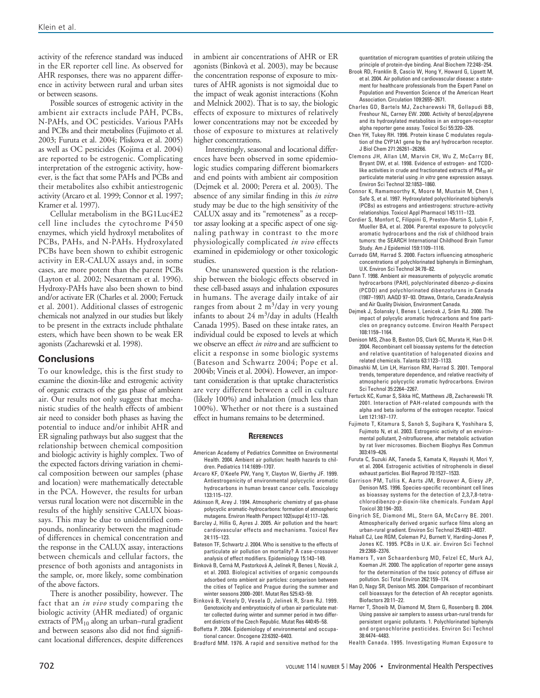activity of the reference standard was induced in the ER reporter cell line. As observed for AHR responses, there was no apparent difference in activity between rural and urban sites or between seasons.

Possible sources of estrogenic activity in the ambient air extracts include PAH, PCBs, N-PAHs, and OC pesticides. Various PAHs and PCBs and their metabolites (Fujimoto et al. 2003; Furuta et al. 2004; Pliskova et al. 2005) as well as OC pesticides (Kojima et al. 2004) are reported to be estrogenic. Complicating interpretation of the estrogenic activity, however, is the fact that some PAHs and PCBs and their metabolites also exhibit antiestrogenic activity (Arcaro et al. 1999; Connor et al. 1997; Kramer et al. 1997).

Cellular metabolism in the BG1Luc4E2 cell line includes the cytochrome P450 enzymes, which yield hydroxyl metabolites of PCBs, PAHs, and N-PAHs. Hydroxylated PCBs have been shown to exhibit estrogenic activity in ER-CALUX assays and, in some cases, are more potent than the parent PCBs (Layton et al. 2002; Nesaretnam et al. 1996). Hydroxy-PAHs have also been shown to bind and/or activate ER (Charles et al. 2000; Fertuck et al. 2001). Additional classes of estrogenic chemicals not analyzed in our studies but likely to be present in the extracts include phthalate esters, which have been shown to be weak ER agonists (Zacharewski et al. 1998).

### **Conclusions**

To our knowledge, this is the first study to examine the dioxin-like and estrogenic activity of organic extracts of the gas phase of ambient air. Our results not only suggest that mechanistic studies of the health effects of ambient air need to consider both phases as having the potential to induce and/or inhibit AHR and ER signaling pathways but also suggest that the relationship between chemical composition and biologic activity is highly complex. Two of the expected factors driving variation in chemical composition between our samples (phase and location) were mathematically detectable in the PCA. However, the results for urban versus rural location were not discernible in the results of the highly sensitive CALUX bioassays. This may be due to unidentified compounds, nonlinearity between the magnitude of differences in chemical concentration and the response in the CALUX assay, interactions between chemicals and cellular factors, the presence of both agonists and antagonists in the sample, or, more likely, some combination of the above factors.

There is another possibility, however. The fact that an *in vivo* study comparing the biologic activity (AHR mediated) of organic extracts of  $PM_{10}$  along an urban–rural gradient and between seasons also did not find significant locational differences, despite differences in ambient air concentrations of AHR or ER agonists (Binkovà et al. 2003), may be because the concentration response of exposure to mixtures of AHR agonists is not sigmoidal due to the impact of weak agonist interactions (Kohn and Melnick 2002). That is to say, the biologic effects of exposure to mixtures of relatively lower concentrations may not be exceeded by those of exposure to mixtures at relatively higher concentrations.

Interestingly, seasonal and locational differences have been observed in some epidemiologic studies comparing different biomarkers and end points with ambient air composition (Dejmek et al. 2000; Perera et al. 2003). The absence of any similar finding in this *in vitro* study may be due to the high sensitivity of the CALUX assay and its "remoteness" as a receptor assay looking at a specific aspect of one signaling pathway in contrast to the more physiologically complicated *in vivo* effects examined in epidemiology or other toxicologic studies.

One unanswered question is the relationship between the biologic effects observed in these cell-based assays and inhalation exposures in humans. The average daily intake of air ranges from about 2  $m^3$ /day in very young infants to about  $24 \text{ m}^3/\text{day}$  in adults (Health Canada 1995). Based on these intake rates, an individual could be exposed to levels at which we observe an effect *in vitro* and are sufficient to elicit a response in some biologic systems (Bateson and Schwartz 2004; Pope et al. 2004b; Vineis et al. 2004). However, an important consideration is that uptake characteristics are very different between a cell in culture (likely 100%) and inhalation (much less than 100%). Whether or not there is a sustained effect in humans remains to be determined.

#### **REFERENCES**

- American Academy of Pediatrics Committee on Environmental Health. 2004. Ambient air pollution: health hazards to children. Pediatrics 114:1699–1707.
- Arcaro KF, O'Keefe PW, Yang Y, Clayton W, Gierthy JF. 1999. Antiestrogenicity of environmental polycyclic aromatic hydrocarbons in human breast cancer cells. Toxicology 133:115–127.
- Atkinson R, Arey J. 1994. Atmospheric chemistry of gas-phase polycyclic aromatic-hydrocarbons: formation of atmospheric mutagens. Environ Health Perspect 102(suppl 4):117–126.
- Barclay J, Hillis G, Ayres J. 2005. Air pollution and the heart: cardiovascular effects and mechanisms. Toxicol Rev 24:115–123.
- Bateson TF, Schwartz J. 2004. Who is sensitive to the effects of particulate air pollution on mortality? A case-crossover analysis of effect modifiers. Epidemiology 15:143–149.
- Binkovà B, Cerná M, Pastorková A, Jelínek R, Benes I, Novák J, et al. 2003. Biological activities of organic compounds adsorbed onto ambient air particles: comparison between the cities of Teplice and Prague during the summer and winter seasons 2000–2001. Mutat Res 525:43–59.
- Binkovà B, Vesely D, Vesela D, Jelinek R, Sram RJ. 1999. Genotoxicity and embryotoxicity of urban air particulate matter collected during winter and summer period in two different districts of the Czech Republic. Mutat Res 440:45–58.
- Boffetta P. 2004. Epidemiology of environmental and occupational cancer. Oncogene 23:6392–6403.

Bradford MM. 1976. A rapid and sensitive method for the

quantitation of microgram quantities of protein utilizing the principle of protein-dye binding. Anal Biochem 72:248–254.

- Brook RD, Franklin B, Cascio W, Hong Y, Howard G, Lipsett M, et al. 2004. Air pollution and cardiovascular disease: a statement for healthcare professionals from the Expert Panel on Population and Prevention Science of the American Heart Association. Circulation 109:2655–2671.
- Charles GD, Bartels MJ, Zacharewski TR, Gollapudi BB, Freshour NL, Carney EW. 2000. Activity of benzo[a]pyrene and its hydroxylated metabolites in an estrogen-receptor alpha reporter gene assay. Toxicol Sci 55:320–326.
- Chen YH, Tukey RH. 1996. Protein kinase C modulates regulation of the CYP1A1 gene by the aryl hydrocarbon receptor. J Biol Chem 271:26261–26266.
- Clemons JH, Allan LM, Marvin CH, Wu Z, McCarry BE, Bryant DW, et al. 1998. Evidence of estrogen- and TCDDlike activities in crude and fractionated extracts of PM<sub>10</sub> air particulate material using in vitro gene expression assays. Environ Sci Technol 32:1853–1860.
- Connor K, Ramamoorthy K, Moore M, Mustain M, Chen I, Safe S, et al. 1997. Hydroxylated polychlorinated biphenyls (PCBs) as estrogens and antiestrogens: structure-activity relationships. Toxicol Appl Pharmacol 145:111–123.
- Cordier S, Monfort C, Filippini G, Preston-Martin S, Lubin F, Mueller BA, et al. 2004. Parental exposure to polycyclic aromatic hydrocarbons and the risk of childhood brain tumors: the SEARCH International Childhood Brain Tumor Study. Am J Epidemiol 159:1109–1116.
- Currado GM, Harrad S. 2000. Factors influencing atmospheric concentrations of polychlorinated biphenyls in Birmingham, U.K. Environ Sci Technol 34:78–82.
- Dann T. 1998. Ambient air measurements of polycyclic aromatic hydrocarbons (PAH), polychlorinated dibenzo-p-dioxins (PCDD) and polychlorinated dibenzofurans in Canada (1987–1997). AAQD 97–93. Ottawa, Ontario, Canada:Analysis and Air Quality Division, Environment Canada.
- Dejmek J, Solansky I, Benes I, Lenicek J, Srám RJ. 2000. The impact of polycylic aromatic hydrocarbons and fine particles on pregnancy outcome. Environ Health Perspect 108:1159–1164.
- Denison MS, Zhao B, Baston DS, Clark GC, Murata H, Han D-H. 2004. Recombinant cell bioassay systems for the detection and relative quantitation of halogenated dioxins and related chemicals. Talanta 63:1123–1133.
- Dimashki M, Lim LH, Harrison RM, Harrad S. 2001. Temporal trends, temperature dependence, and relative reactivity of atmospheric polycyclic aromatic hydrocarbons. Environ Sci Technol 35:2264–2267.
- Fertuck KC, Kumar S, Sikka HC, Matthews JB, Zacharewski TR. 2001. Interaction of PAH-related compounds with the alpha and beta isoforms of the estrogen receptor. Toxicol Lett 121:167–177.
- Fujimoto T, Kitamura S, Sanoh S, Sugihara K, Yoshihara S, Fujimoto N, et al. 2003. Estrogenic activity of an environmental pollutant, 2-nitrofluorene, after metabolic activation by rat liver microsomes. Biochem Biophys Res Commun 303:419–426.
- Furuta C, Suzuki AK, Taneda S, Kamata K, Hayashi H, Mori Y, et al. 2004. Estrogenic activities of nitrophenols in diesel exhaust particles. Biol Reprod 70:1527–1533.
- Garrison PM, Tullis K, Aarts JM, Brouwer A, Giesy JP, Denison MS. 1996. Species-specific recombinant cell lines as bioassay systems for the detection of 2,3,7,8-tetrachlorodibenzo-p-dioxin-like chemicals. Fundam Appl Toxicol 30:194–203.
- Gingrich SE, Diamond ML, Stern GA, McCarry BE. 2001. Atmospherically derived organic surface films along an urban-rural gradient. Environ Sci Technol 25:4031–4037.
- Halsall CJ, Lee RGM, Coleman PJ, Burnett V, Harding-Jones P, Jones KC. 1995. PCBs in U.K. air. Environ Sci Technol 29:2368–2376.
- Hamers T, van Schaardenburg MD, Felzel EC, Murk AJ, Koeman JH. 2000. The application of reporter gene assays for the determination of the toxic potency of diffuse air pollution. Sci Total Environ 262:159–174.
- Han D, Nagy SR, Denison MS. 2004. Comparison of recombinant cell bioassays for the detection of Ah receptor agonists. Biofactors 20:11–22.
- Harner T, Shoeib M, Diamond M, Stern G, Rosenberg B. 2004. Using passive air samplers to assess urban-rural trends for persistent organic pollutants. 1. Polychlorinated biphenyls and organochlorine pesticides. Environ Sci Technol 38:4474–4483.
- Health Canada. 1995. Investigating Human Exposure to